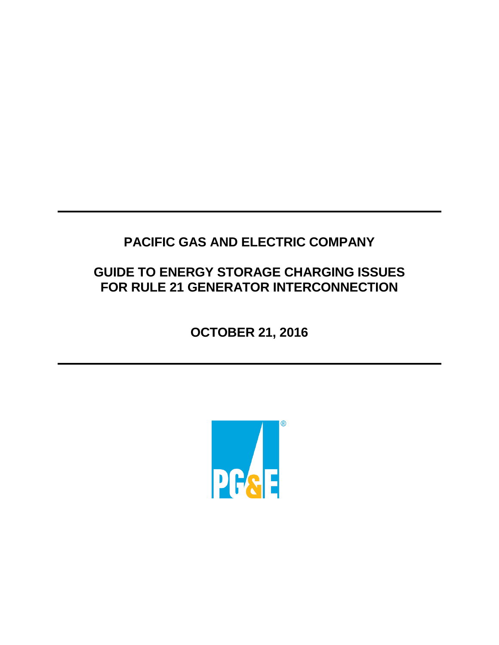# **PACIFIC GAS AND ELECTRIC COMPANY**

# **GUIDE TO ENERGY STORAGE CHARGING ISSUES FOR RULE 21 GENERATOR INTERCONNECTION**

**OCTOBER 21, 2016**

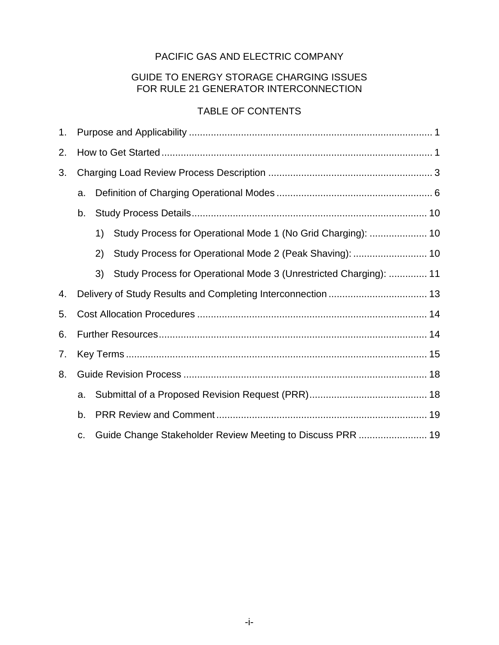# PACIFIC GAS AND ELECTRIC COMPANY

## GUIDE TO ENERGY STORAGE CHARGING ISSUES FOR RULE 21 GENERATOR INTERCONNECTION

# TABLE OF CONTENTS

| 1. |    |     |                                                                   |  |  |
|----|----|-----|-------------------------------------------------------------------|--|--|
| 2. |    |     |                                                                   |  |  |
| 3. |    |     |                                                                   |  |  |
|    | a. |     |                                                                   |  |  |
|    | b. |     |                                                                   |  |  |
|    |    | 1)  | Study Process for Operational Mode 1 (No Grid Charging):  10      |  |  |
|    |    | (2) | Study Process for Operational Mode 2 (Peak Shaving):  10          |  |  |
|    |    | 3)  | Study Process for Operational Mode 3 (Unrestricted Charging):  11 |  |  |
| 4. |    |     |                                                                   |  |  |
| 5. |    |     |                                                                   |  |  |
| 6. |    |     |                                                                   |  |  |
| 7. |    |     |                                                                   |  |  |
| 8. |    |     |                                                                   |  |  |
|    | a. |     |                                                                   |  |  |
|    | b. |     |                                                                   |  |  |
|    | C. |     | Guide Change Stakeholder Review Meeting to Discuss PRR  19        |  |  |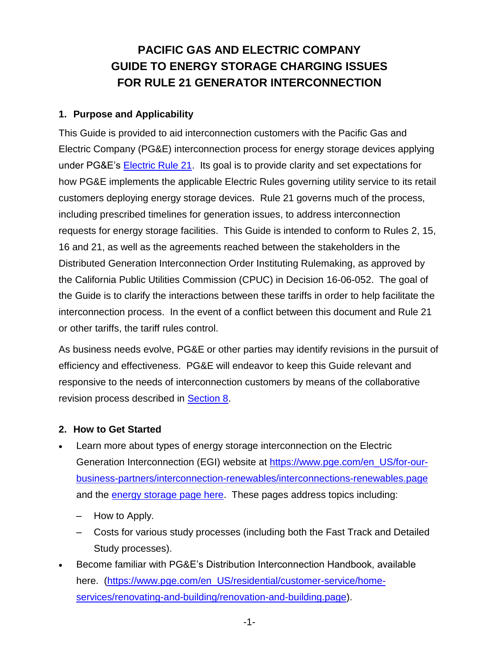# **PACIFIC GAS AND ELECTRIC COMPANY GUIDE TO ENERGY STORAGE CHARGING ISSUES FOR RULE 21 GENERATOR INTERCONNECTION**

### **1. Purpose and Applicability**

This Guide is provided to aid interconnection customers with the Pacific Gas and Electric Company (PG&E) interconnection process for energy storage devices applying under PG&E's [Electric Rule 21.](https://www.pge.com/includes/docs/pdfs/b2b/interconnections/ElectricRule21.pdf) Its goal is to provide clarity and set expectations for how PG&E implements the applicable Electric Rules governing utility service to its retail customers deploying energy storage devices. Rule 21 governs much of the process, including prescribed timelines for generation issues, to address interconnection requests for energy storage facilities. This Guide is intended to conform to Rules 2, 15, 16 and 21, as well as the agreements reached between the stakeholders in the Distributed Generation Interconnection Order Instituting Rulemaking, as approved by the California Public Utilities Commission (CPUC) in Decision 16-06-052. The goal of the Guide is to clarify the interactions between these tariffs in order to help facilitate the interconnection process. In the event of a conflict between this document and Rule 21 or other tariffs, the tariff rules control.

As business needs evolve, PG&E or other parties may identify revisions in the pursuit of efficiency and effectiveness. PG&E will endeavor to keep this Guide relevant and responsive to the needs of interconnection customers by means of the collaborative revision process described in [Section 8.](#page-19-0)

# **2. How to Get Started**

- Learn more about types of energy storage interconnection on the Electric Generation Interconnection (EGI) website at [https://www.pge.com/en\\_US/for-our](https://www.pge.com/en_US/for-our-business-partners/interconnection-renewables/interconnections-renewables.page)[business-partners/interconnection-renewables/interconnections-renewables.page](https://www.pge.com/en_US/for-our-business-partners/interconnection-renewables/interconnections-renewables.page) and the [energy storage page here.](https://www.pge.com/en_US/for-our-business-partners/interconnection-renewables/export-power/distributed-generation-handbook/net-energy-metering/energy-storage/energy-storage.page) These pages address topics including:
	- How to Apply.
	- Costs for various study processes (including both the Fast Track and Detailed Study processes).
- Become familiar with PG&E's Distribution Interconnection Handbook, available here. [\(https://www.pge.com/en\\_US/residential/customer-service/home](https://www.pge.com/en_US/residential/customer-service/home-services/renovating-and-building/renovation-and-building.page)[services/renovating-and-building/renovation-and-building.page\)](https://www.pge.com/en_US/residential/customer-service/home-services/renovating-and-building/renovation-and-building.page).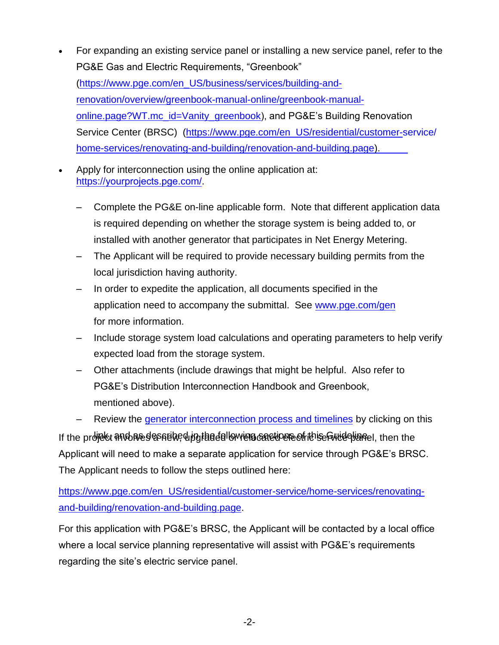- For expanding an existing service panel or installing a new service panel, refer to the PG&E Gas and Electric Requirements, "Greenbook" [\(https://www.pge.com/en\\_US/business/services/building-and](https://www.pge.com/en_US/business/services/building-and-renovation/overview/greenbook-manual-online/greenbook-manual-online.page?WT.mc_id=Vanity_greenbook)[renovation/overview/greenbook-manual-online/greenbook-manual](https://www.pge.com/en_US/business/services/building-and-renovation/overview/greenbook-manual-online/greenbook-manual-online.page?WT.mc_id=Vanity_greenbook)[online.page?WT.mc\\_id=Vanity\\_greenbook\)](https://www.pge.com/en_US/business/services/building-and-renovation/overview/greenbook-manual-online/greenbook-manual-online.page?WT.mc_id=Vanity_greenbook), and PG&E's Building Renovation Service Center (BRSC) [\(https://www.pge.com/en\\_US/residential/customer-service/](https://www.pge.com/en_US/residential/customer-service/home-services/renovating-and-building/renovation-and-building.page) [home-services/renovating-and-building/renovation-and-building.page\).](https://www.pge.com/en_US/residential/customer-service/home-services/renovating-and-building/renovation-and-building.page)
- Apply for interconnection using the online application at: https://yourprojects.pge.com/.
	- Complete the PG&E on-line applicable form. Note that different application data is required depending on whether the storage system is being added to, or installed with another generator that participates in Net Energy Metering.
	- The Applicant will be required to provide necessary building permits from the local jurisdiction having authority.
	- In order to expedite the application, all documents [specified in the](http://www.pge.com/gen) application need to accompany the submittal. See www.pge.com/gen for more information.
	- Include storage system load calculations and operating parameters to help verify expected load from the storage system.
	- Other attachments (include drawings that might be helpful. Also refer to PG&E's Distribution Interconnection Handbook and Greenbook, mentioned [above\).](http://www.pge.com/includes/docs/pdfs/b2b/newgenerator/GenerationInterconnectionProcessTimeline.pdf)

Review the generator interconnection process and timelines by clicking on this If the project and as despreased in the following sections of this Guidelian el, then the Applicant will need to make a separate application for service through PG&E's BRSC. The Applicant needs to follow the steps outlined here:

[https://www.pge.com/en\\_US/residential/customer-service/home-services/renovating](https://www.pge.com/en_US/residential/customer-service/home-services/renovating-and-building/renovation-and-building.page)[and-building/renovation-and-building.page.](https://www.pge.com/en_US/residential/customer-service/home-services/renovating-and-building/renovation-and-building.page)

For this application with PG&E's BRSC, the Applicant will be contacted by a local office where a local service planning representative will assist with PG&E's requirements regarding the site's electric service panel.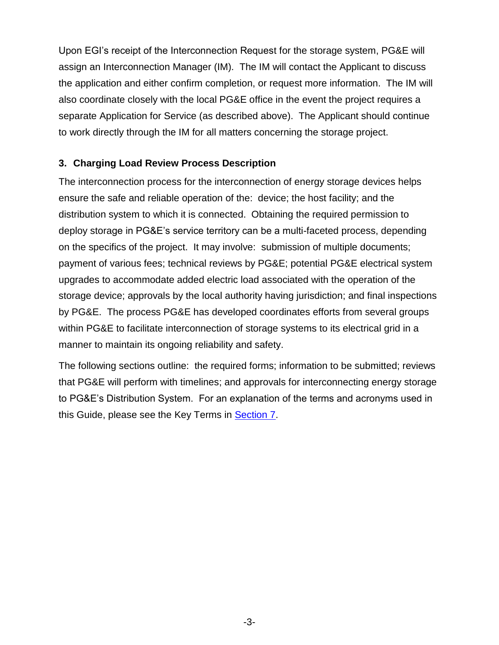Upon EGI's receipt of the Interconnection Request for the storage system, PG&E will assign an Interconnection Manager (IM). The IM will contact the Applicant to discuss the application and either confirm completion, or request more information. The IM will also coordinate closely with the local PG&E office in the event the project requires a separate Application for Service (as described above). The Applicant should continue to work directly through the IM for all matters concerning the storage project.

## **3. Charging Load Review Process Description**

The interconnection process for the interconnection of energy storage devices helps ensure the safe and reliable operation of the: device; the host facility; and the distribution system to which it is connected. Obtaining the required permission to deploy storage in PG&E's service territory can be a multi-faceted process, depending on the specifics of the project. It may involve: submission of multiple documents; payment of various fees; technical reviews by PG&E; potential PG&E electrical system upgrades to accommodate added electric load associated with the operation of the storage device; approvals by the local authority having jurisdiction; and final inspections by PG&E. The process PG&E has developed coordinates efforts from several groups within PG&E to facilitate interconnection of storage systems to its electrical grid in a manner to maintain its ongoing reliability and safety.

The following sections outline: the required forms; information to be submitted; reviews that PG&E will perform with timelines; and approvals for interconnecting energy storage to PG&E's Distribution System. For an explanation of the terms and acronyms used in this Guide, please see the Key Terms in [Section 7.](#page-15-0)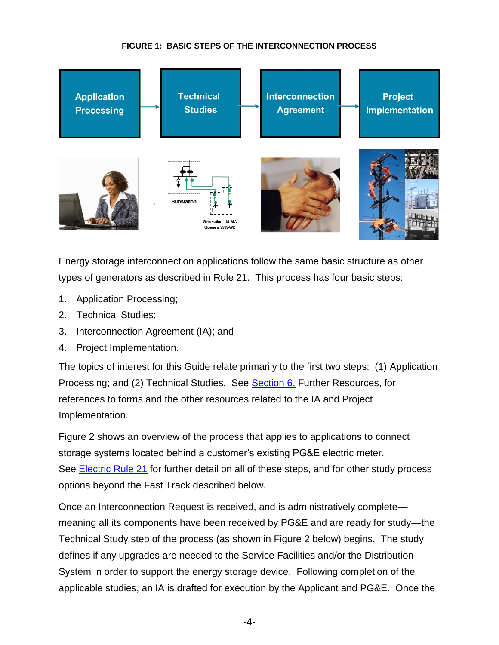#### **FIGURE 1: BASIC STEPS OF THE INTERCONNECTION PROCESS**



Energy storage interconnection applications follow the same basic structure as other types of generators as described in Rule 21. This process has four basic steps:

- 1. Application Processing;
- 2. Technical Studies;
- 3. Interconnection Agreement (IA); and
- 4. Project Implementation.

The topics of interest for this Guide relate primarily to the first two steps: (1) Application Processing; and (2) Technical Studies. See [Section 6,](#page-15-0) Further Resources, for references to forms and the other resources related to the IA and Project Implementation.

Figure 2 shows an overview of the process that applies to applications to connect storage systems located behind a customer's existing PG&E electric meter. See **Electric Rule 21** for further detail on all of these steps, and for other study process options beyond the Fast Track described below.

Once an Interconnection Request is received, and is administratively complete meaning all its components have been received by PG&E and are ready for study—the Technical Study step of the process (as shown in Figure 2 below) begins. The study defines if any upgrades are needed to the Service Facilities and/or the Distribution System in order to support the energy storage device. Following completion of the applicable studies, an IA is drafted for execution by the Applicant and PG&E. Once the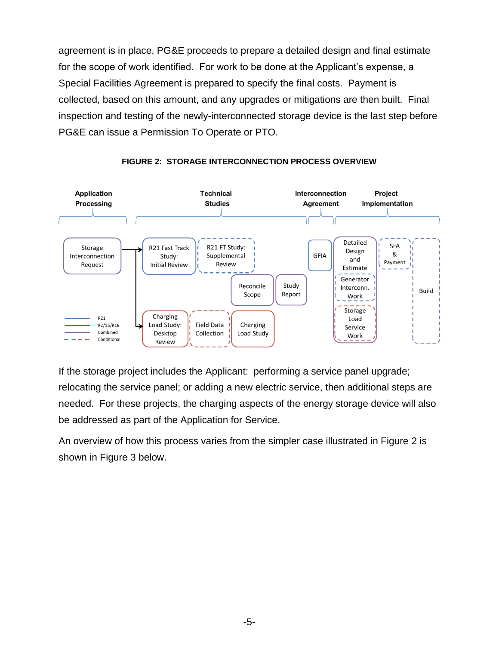agreement is in place, PG&E proceeds to prepare a detailed design and final estimate for the scope of work identified. For work to be done at the Applicant's expense, a Special Facilities Agreement is prepared to specify the final costs. Payment is collected, based on this amount, and any upgrades or mitigations are then built. Final inspection and testing of the newly-interconnected storage device is the last step before PG&E can issue a Permission To Operate or PTO.



#### **FIGURE 2: STORAGE INTERCONNECTION PROCESS OVERVIEW**

If the storage project includes the Applicant: performing a service panel upgrade; relocating the service panel; or adding a new electric service, then additional steps are needed. For these projects, the charging aspects of the energy storage device will also be addressed as part of the Application for Service.

An overview of how this process varies from the simpler case illustrated in Figure 2 is shown in Figure 3 below.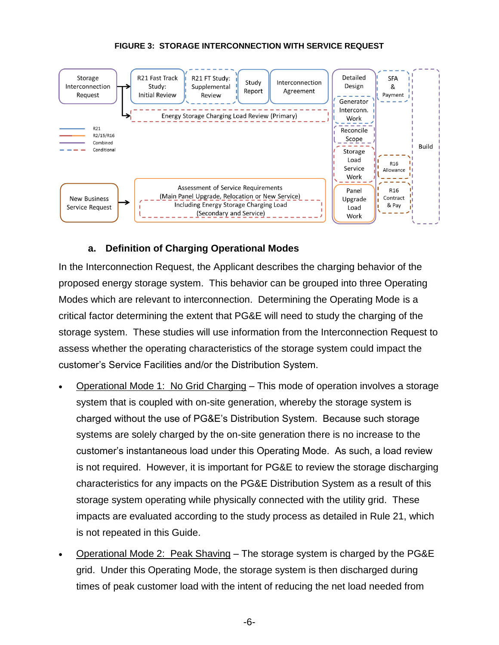#### **FIGURE 3: STORAGE INTERCONNECTION WITH SERVICE REQUEST**



#### **a. Definition of Charging Operational Modes**

In the Interconnection Request, the Applicant describes the charging behavior of the proposed energy storage system. This behavior can be grouped into three Operating Modes which are relevant to interconnection. Determining the Operating Mode is a critical factor determining the extent that PG&E will need to study the charging of the storage system. These studies will use information from the Interconnection Request to assess whether the operating characteristics of the storage system could impact the customer's Service Facilities and/or the Distribution System.

- Operational Mode 1: No Grid Charging This mode of operation involves a storage system that is coupled with on-site generation, whereby the storage system is charged without the use of PG&E's Distribution System. Because such storage systems are solely charged by the on-site generation there is no increase to the customer's instantaneous load under this Operating Mode. As such, a load review is not required. However, it is important for PG&E to review the storage discharging characteristics for any impacts on the PG&E Distribution System as a result of this storage system operating while physically connected with the utility grid. These impacts are evaluated according to the study process as detailed in Rule 21, which is not repeated in this Guide.
- Operational Mode 2: Peak Shaving The storage system is charged by the PG&E grid. Under this Operating Mode, the storage system is then discharged during times of peak customer load with the intent of reducing the net load needed from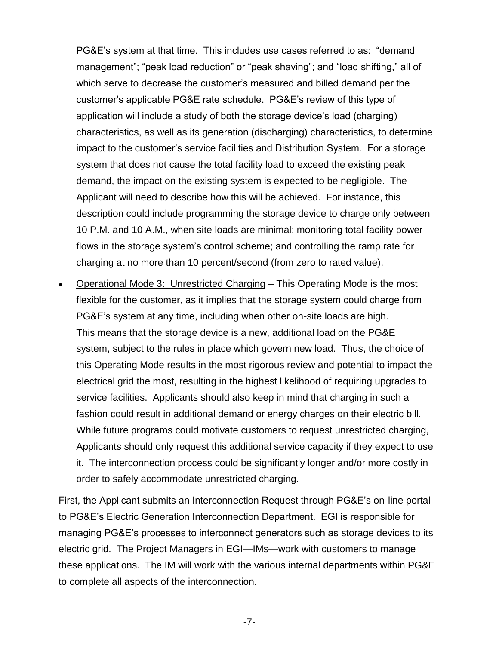PG&E's system at that time. This includes use cases referred to as: "demand management"; "peak load reduction" or "peak shaving"; and "load shifting," all of which serve to decrease the customer's measured and billed demand per the customer's applicable PG&E rate schedule. PG&E's review of this type of application will include a study of both the storage device's load (charging) characteristics, as well as its generation (discharging) characteristics, to determine impact to the customer's service facilities and Distribution System. For a storage system that does not cause the total facility load to exceed the existing peak demand, the impact on the existing system is expected to be negligible. The Applicant will need to describe how this will be achieved. For instance, this description could include programming the storage device to charge only between 10 P.M. and 10 A.M., when site loads are minimal; monitoring total facility power flows in the storage system's control scheme; and controlling the ramp rate for charging at no more than 10 percent/second (from zero to rated value).

 Operational Mode 3: Unrestricted Charging – This Operating Mode is the most flexible for the customer, as it implies that the storage system could charge from PG&E's system at any time, including when other on-site loads are high. This means that the storage device is a new, additional load on the PG&E system, subject to the rules in place which govern new load. Thus, the choice of this Operating Mode results in the most rigorous review and potential to impact the electrical grid the most, resulting in the highest likelihood of requiring upgrades to service facilities. Applicants should also keep in mind that charging in such a fashion could result in additional demand or energy charges on their electric bill. While future programs could motivate customers to request unrestricted charging, Applicants should only request this additional service capacity if they expect to use it. The interconnection process could be significantly longer and/or more costly in order to safely accommodate unrestricted charging.

First, the Applicant submits an Interconnection Request through PG&E's on-line portal to PG&E's Electric Generation Interconnection Department. EGI is responsible for managing PG&E's processes to interconnect generators such as storage devices to its electric grid. The Project Managers in EGI—IMs—work with customers to manage these applications. The IM will work with the various internal departments within PG&E to complete all aspects of the interconnection.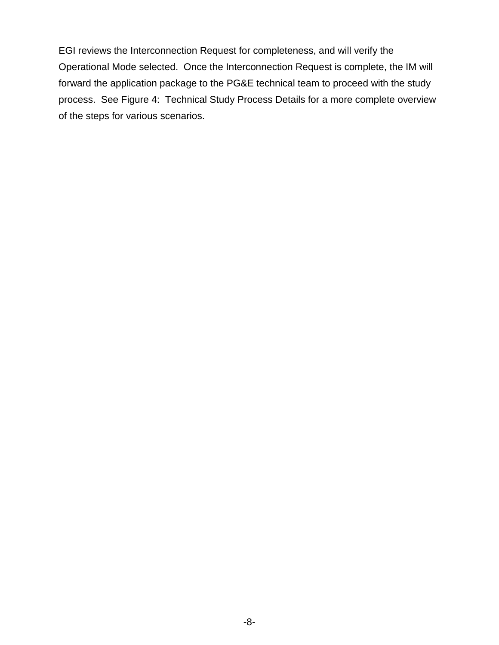EGI reviews the Interconnection Request for completeness, and will verify the Operational Mode selected. Once the Interconnection Request is complete, the IM will forward the application package to the PG&E technical team to proceed with the study process. See Figure 4: Technical Study Process Details for a more complete overview of the steps for various scenarios.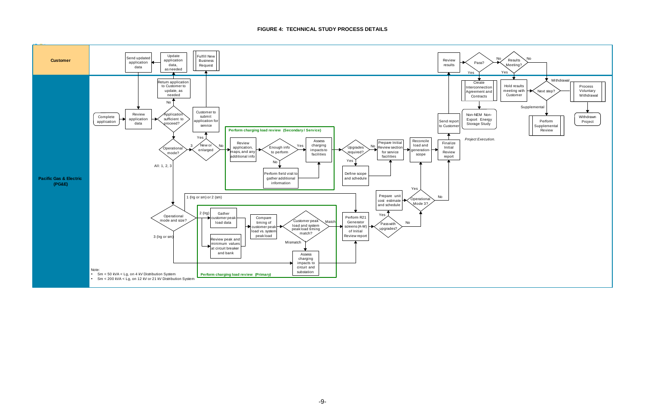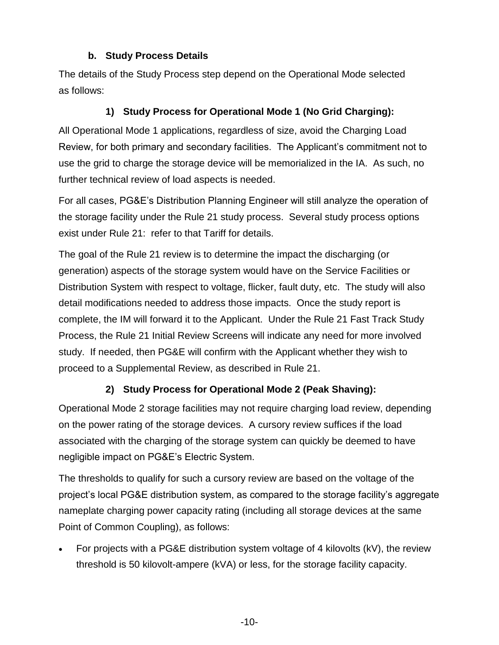## **b. Study Process Details**

The details of the Study Process step depend on the Operational Mode selected as follows:

# **1) Study Process for Operational Mode 1 (No Grid Charging):**

All Operational Mode 1 applications, regardless of size, avoid the Charging Load Review, for both primary and secondary facilities. The Applicant's commitment not to use the grid to charge the storage device will be memorialized in the IA. As such, no further technical review of load aspects is needed.

For all cases, PG&E's Distribution Planning Engineer will still analyze the operation of the storage facility under the Rule 21 study process. Several study process options exist under Rule 21: refer to that Tariff for details.

The goal of the Rule 21 review is to determine the impact the discharging (or generation) aspects of the storage system would have on the Service Facilities or Distribution System with respect to voltage, flicker, fault duty, etc. The study will also detail modifications needed to address those impacts. Once the study report is complete, the IM will forward it to the Applicant. Under the Rule 21 Fast Track Study Process, the Rule 21 Initial Review Screens will indicate any need for more involved study. If needed, then PG&E will confirm with the Applicant whether they wish to proceed to a Supplemental Review, as described in Rule 21.

# **2) Study Process for Operational Mode 2 (Peak Shaving):**

Operational Mode 2 storage facilities may not require charging load review, depending on the power rating of the storage devices. A cursory review suffices if the load associated with the charging of the storage system can quickly be deemed to have negligible impact on PG&E's Electric System.

The thresholds to qualify for such a cursory review are based on the voltage of the project's local PG&E distribution system, as compared to the storage facility's aggregate nameplate charging power capacity rating (including all storage devices at the same Point of Common Coupling), as follows:

 For projects with a PG&E distribution system voltage of 4 kilovolts (kV), the review threshold is 50 kilovolt-ampere (kVA) or less, for the storage facility capacity.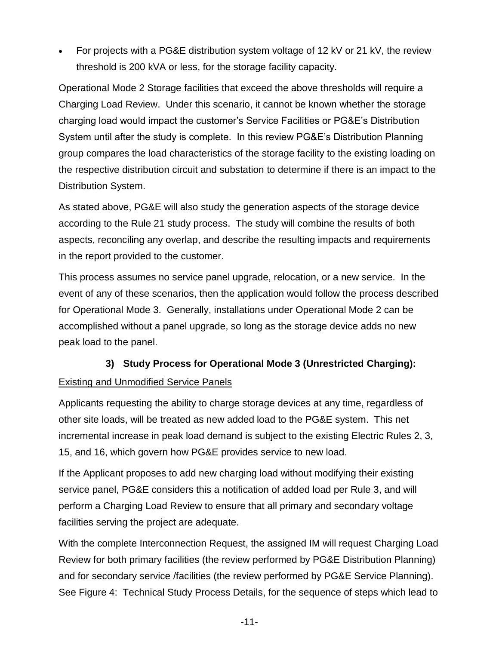For projects with a PG&E distribution system voltage of 12 kV or 21 kV, the review threshold is 200 kVA or less, for the storage facility capacity.

Operational Mode 2 Storage facilities that exceed the above thresholds will require a Charging Load Review. Under this scenario, it cannot be known whether the storage charging load would impact the customer's Service Facilities or PG&E's Distribution System until after the study is complete. In this review PG&E's Distribution Planning group compares the load characteristics of the storage facility to the existing loading on the respective distribution circuit and substation to determine if there is an impact to the Distribution System.

As stated above, PG&E will also study the generation aspects of the storage device according to the Rule 21 study process. The study will combine the results of both aspects, reconciling any overlap, and describe the resulting impacts and requirements in the report provided to the customer.

This process assumes no service panel upgrade, relocation, or a new service. In the event of any of these scenarios, then the application would follow the process described for Operational Mode 3. Generally, installations under Operational Mode 2 can be accomplished without a panel upgrade, so long as the storage device adds no new peak load to the panel.

#### **3) Study Process for Operational Mode 3 (Unrestricted Charging):**

#### Existing and Unmodified Service Panels

Applicants requesting the ability to charge storage devices at any time, regardless of other site loads, will be treated as new added load to the PG&E system. This net incremental increase in peak load demand is subject to the existing Electric Rules 2, 3, 15, and 16, which govern how PG&E provides service to new load.

If the Applicant proposes to add new charging load without modifying their existing service panel, PG&E considers this a notification of added load per Rule 3, and will perform a Charging Load Review to ensure that all primary and secondary voltage facilities serving the project are adequate.

With the complete Interconnection Request, the assigned IM will request Charging Load Review for both primary facilities (the review performed by PG&E Distribution Planning) and for secondary service /facilities (the review performed by PG&E Service Planning). See Figure 4: Technical Study Process Details, for the sequence of steps which lead to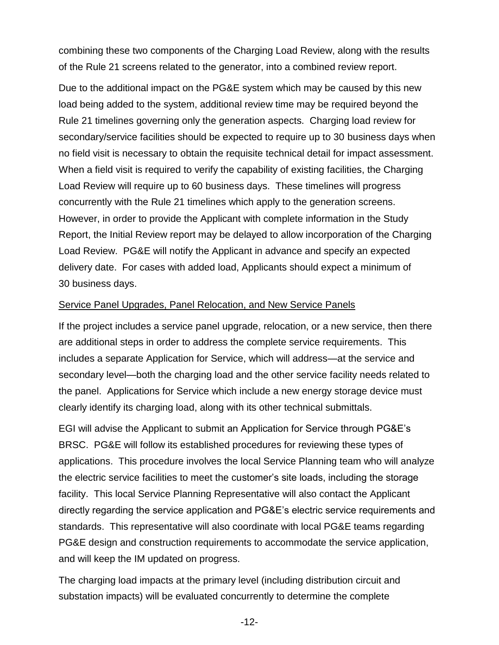combining these two components of the Charging Load Review, along with the results of the Rule 21 screens related to the generator, into a combined review report.

Due to the additional impact on the PG&E system which may be caused by this new load being added to the system, additional review time may be required beyond the Rule 21 timelines governing only the generation aspects. Charging load review for secondary/service facilities should be expected to require up to 30 business days when no field visit is necessary to obtain the requisite technical detail for impact assessment. When a field visit is required to verify the capability of existing facilities, the Charging Load Review will require up to 60 business days. These timelines will progress concurrently with the Rule 21 timelines which apply to the generation screens. However, in order to provide the Applicant with complete information in the Study Report, the Initial Review report may be delayed to allow incorporation of the Charging Load Review. PG&E will notify the Applicant in advance and specify an expected delivery date. For cases with added load, Applicants should expect a minimum of 30 business days.

#### Service Panel Upgrades, Panel Relocation, and New Service Panels

If the project includes a service panel upgrade, relocation, or a new service, then there are additional steps in order to address the complete service requirements. This includes a separate Application for Service, which will address—at the service and secondary level—both the charging load and the other service facility needs related to the panel. Applications for Service which include a new energy storage device must clearly identify its charging load, along with its other technical submittals.

EGI will advise the Applicant to submit an Application for Service through PG&E's BRSC. PG&E will follow its established procedures for reviewing these types of applications. This procedure involves the local Service Planning team who will analyze the electric service facilities to meet the customer's site loads, including the storage facility. This local Service Planning Representative will also contact the Applicant directly regarding the service application and PG&E's electric service requirements and standards. This representative will also coordinate with local PG&E teams regarding PG&E design and construction requirements to accommodate the service application, and will keep the IM updated on progress.

The charging load impacts at the primary level (including distribution circuit and substation impacts) will be evaluated concurrently to determine the complete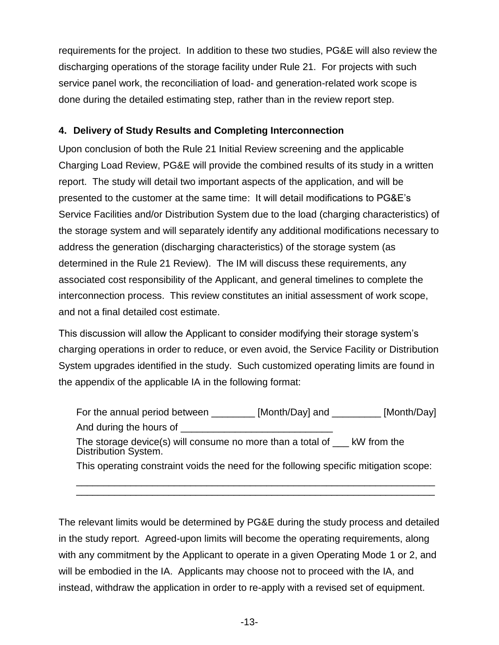requirements for the project. In addition to these two studies, PG&E will also review the discharging operations of the storage facility under Rule 21. For projects with such service panel work, the reconciliation of load- and generation-related work scope is done during the detailed estimating step, rather than in the review report step.

## **4. Delivery of Study Results and Completing Interconnection**

Upon conclusion of both the Rule 21 Initial Review screening and the applicable Charging Load Review, PG&E will provide the combined results of its study in a written report. The study will detail two important aspects of the application, and will be presented to the customer at the same time: It will detail modifications to PG&E's Service Facilities and/or Distribution System due to the load (charging characteristics) of the storage system and will separately identify any additional modifications necessary to address the generation (discharging characteristics) of the storage system (as determined in the Rule 21 Review). The IM will discuss these requirements, any associated cost responsibility of the Applicant, and general timelines to complete the interconnection process. This review constitutes an initial assessment of work scope, and not a final detailed cost estimate.

This discussion will allow the Applicant to consider modifying their storage system's charging operations in order to reduce, or even avoid, the Service Facility or Distribution System upgrades identified in the study. Such customized operating limits are found in the appendix of the applicable IA in the following format:

| For the annual period between                                                                                | [Month/Day] and ____ | _ [Month/Day] |  |  |  |
|--------------------------------------------------------------------------------------------------------------|----------------------|---------------|--|--|--|
| And during the hours of                                                                                      |                      |               |  |  |  |
| The storage device(s) will consume no more than a total of $\phantom{0}$ kW from the<br>Distribution System. |                      |               |  |  |  |
| This operating constraint voids the need for the following specific mitigation scope:                        |                      |               |  |  |  |

\_\_\_\_\_\_\_\_\_\_\_\_\_\_\_\_\_\_\_\_\_\_\_\_\_\_\_\_\_\_\_\_\_\_\_\_\_\_\_\_\_\_\_\_\_\_\_\_\_\_\_\_\_\_\_\_\_\_\_\_\_\_\_\_\_\_

The relevant limits would be determined by PG&E during the study process and detailed in the study report. Agreed-upon limits will become the operating requirements, along with any commitment by the Applicant to operate in a given Operating Mode 1 or 2, and will be embodied in the IA. Applicants may choose not to proceed with the IA, and instead, withdraw the application in order to re-apply with a revised set of equipment.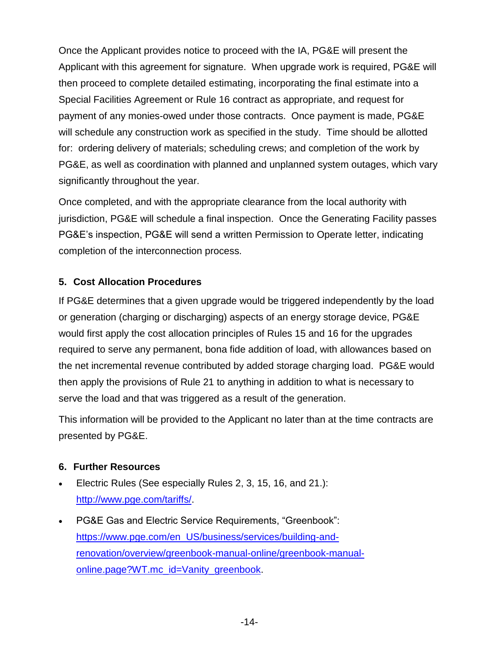Once the Applicant provides notice to proceed with the IA, PG&E will present the Applicant with this agreement for signature. When upgrade work is required, PG&E will then proceed to complete detailed estimating, incorporating the final estimate into a Special Facilities Agreement or Rule 16 contract as appropriate, and request for payment of any monies-owed under those contracts. Once payment is made, PG&E will schedule any construction work as specified in the study. Time should be allotted for: ordering delivery of materials; scheduling crews; and completion of the work by PG&E, as well as coordination with planned and unplanned system outages, which vary significantly throughout the year.

Once completed, and with the appropriate clearance from the local authority with jurisdiction, PG&E will schedule a final inspection. Once the Generating Facility passes PG&E's inspection, PG&E will send a written Permission to Operate letter, indicating completion of the interconnection process.

## **5. Cost Allocation Procedures**

If PG&E determines that a given upgrade would be triggered independently by the load or generation (charging or discharging) aspects of an energy storage device, PG&E would first apply the cost allocation principles of Rules 15 and 16 for the upgrades required to serve any permanent, bona fide addition of load, with allowances based on the net incremental revenue contributed by added storage charging load. PG&E would then apply the provisions of Rule 21 to anything in addition to what is necessary to serve the load and that was triggered as a result of the generation.

This information will be provided to the Applicant no later than at the time contracts are presented by PG&E.

#### <span id="page-15-0"></span>**6. Further Resources**

- Electric Rules (See especially Rules 2, 3, 15, 16, and 21.): [http://www.pge.com/tariffs/.](http://www.pge.com/tariffs/)
- PG&E Gas and Electric Service Requirements, "Greenbook": [https://www.pge.com/en\\_US/business/services/building-and](https://www.pge.com/en_US/business/services/building-and-renovation/overview/greenbook-manual-online/greenbook-manual-online.page?WT.mc_id=Vanity_greenbook)[renovation/overview/greenbook-manual-online/greenbook-manual](https://www.pge.com/en_US/business/services/building-and-renovation/overview/greenbook-manual-online/greenbook-manual-online.page?WT.mc_id=Vanity_greenbook)[online.page?WT.mc\\_id=Vanity\\_greenbook.](https://www.pge.com/en_US/business/services/building-and-renovation/overview/greenbook-manual-online/greenbook-manual-online.page?WT.mc_id=Vanity_greenbook)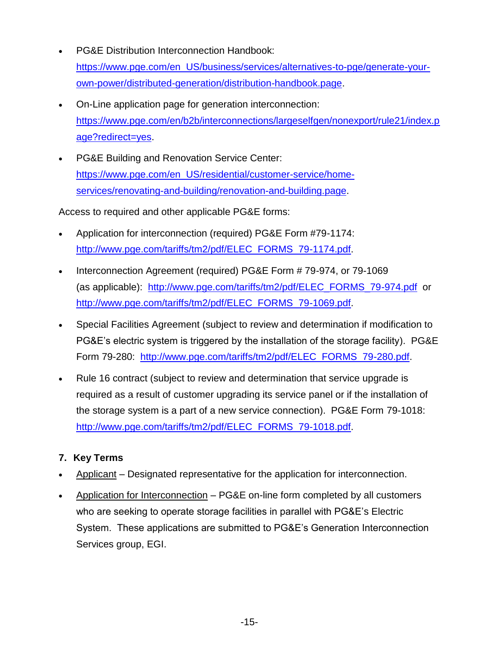- PG&E Distribution Interconnection Handbook: [https://www.pge.com/en\\_US/business/services/alternatives-to-pge/generate-your](https://www.pge.com/en_US/business/services/alternatives-to-pge/generate-your-own-power/distributed-generation/distribution-handbook.page)[own-power/distributed-generation/distribution-handbook.page.](https://www.pge.com/en_US/business/services/alternatives-to-pge/generate-your-own-power/distributed-generation/distribution-handbook.page)
- On-Line application page for generation interconnection: [https://www.pge.com/en/b2b/interconnections/largeselfgen/nonexport/rule21/index.p](https://www.pge.com/en/b2b/interconnections/largeselfgen/nonexport/rule21/index.page?redirect=yes) [age?redirect=yes.](https://www.pge.com/en/b2b/interconnections/largeselfgen/nonexport/rule21/index.page?redirect=yes)
- PG&E Building and Renovation Service Center: [https://www.pge.com/en\\_US/residential/customer-service/home](https://www.pge.com/en_US/residential/customer-service/home-services/renovating-and-building/renovation-and-building.page)[services/renovating-and-building/renovation-and-building.page.](https://www.pge.com/en_US/residential/customer-service/home-services/renovating-and-building/renovation-and-building.page)

Access to required and other applicable PG&E forms:

- Application for interconnection (required) PG&E Form #79-1174: [http://www.pge.com/tariffs/tm2/pdf/ELEC\\_FORMS\\_79-1174.pdf.](http://www.pge.com/tariffs/tm2/pdf/ELEC_FORMS_79-1174.pdf)
- Interconnection Agreement (required) PG&E Form # 79-974, or 79-1069 (as applicable): [http://www.pge.com/tariffs/tm2/pdf/ELEC\\_FORMS\\_79-974.pdf](http://www.pge.com/tariffs/tm2/pdf/ELEC_FORMS_79-974.pdf) or [http://www.pge.com/tariffs/tm2/pdf/ELEC\\_FORMS\\_79-1069.pdf.](http://www.pge.com/tariffs/tm2/pdf/ELEC_FORMS_79-1069.pdf)
- Special Facilities Agreement (subject to review and determination if modification to PG&E's electric system is triggered by the installation of the storage facility). PG&E Form 79-280: [http://www.pge.com/tariffs/tm2/pdf/ELEC\\_FORMS\\_79-280.pdf.](http://www.pge.com/tariffs/tm2/pdf/ELEC_FORMS_79-280.pdf)
- Rule 16 contract (subject to review and determination that service upgrade is required as a result of customer upgrading its service panel or if the installation of the storage system is a part of a new service connection). PG&E Form 79-1018: [http://www.pge.com/tariffs/tm2/pdf/ELEC\\_FORMS\\_79-1018.pdf.](http://www.pge.com/tariffs/tm2/pdf/ELEC_FORMS_79-1018.pdf)

# **7. Key Terms**

- Applicant Designated representative for the application for interconnection.
- Application for Interconnection PG&E on-line form completed by all customers who are seeking to operate storage facilities in parallel with PG&E's Electric System. These applications are submitted to PG&E's Generation Interconnection Services group, EGI.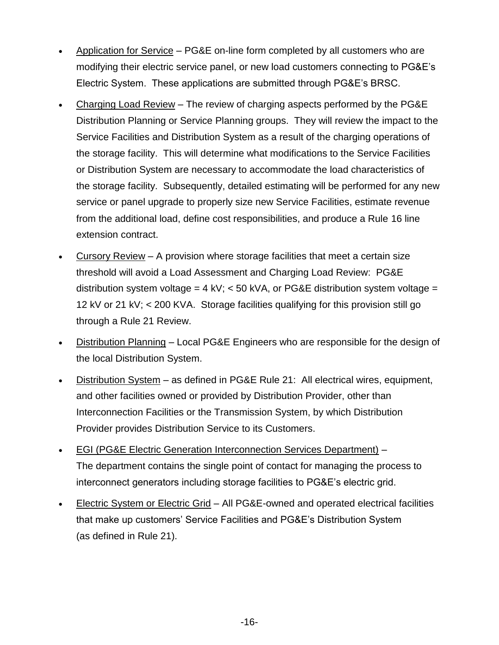- Application for Service PG&E on-line form completed by all customers who are modifying their electric service panel, or new load customers connecting to PG&E's Electric System. These applications are submitted through PG&E's BRSC.
- Charging Load Review The review of charging aspects performed by the PG&E Distribution Planning or Service Planning groups. They will review the impact to the Service Facilities and Distribution System as a result of the charging operations of the storage facility. This will determine what modifications to the Service Facilities or Distribution System are necessary to accommodate the load characteristics of the storage facility. Subsequently, detailed estimating will be performed for any new service or panel upgrade to properly size new Service Facilities, estimate revenue from the additional load, define cost responsibilities, and produce a Rule 16 line extension contract.
- Cursory Review A provision where storage facilities that meet a certain size threshold will avoid a Load Assessment and Charging Load Review: PG&E distribution system voltage =  $4$  kV;  $<$  50 kVA, or PG&E distribution system voltage = 12 kV or 21 kV; < 200 KVA. Storage facilities qualifying for this provision still go through a Rule 21 Review.
- Distribution Planning Local PG&E Engineers who are responsible for the design of the local Distribution System.
- Distribution System as defined in PG&E Rule 21: All electrical wires, equipment, and other facilities owned or provided by Distribution Provider, other than Interconnection Facilities or the Transmission System, by which Distribution Provider provides Distribution Service to its Customers.
- EGI (PG&E Electric Generation Interconnection Services Department) The department contains the single point of contact for managing the process to interconnect generators including storage facilities to PG&E's electric grid.
- Electric System or Electric Grid All PG&E-owned and operated electrical facilities that make up customers' Service Facilities and PG&E's Distribution System (as defined in Rule 21).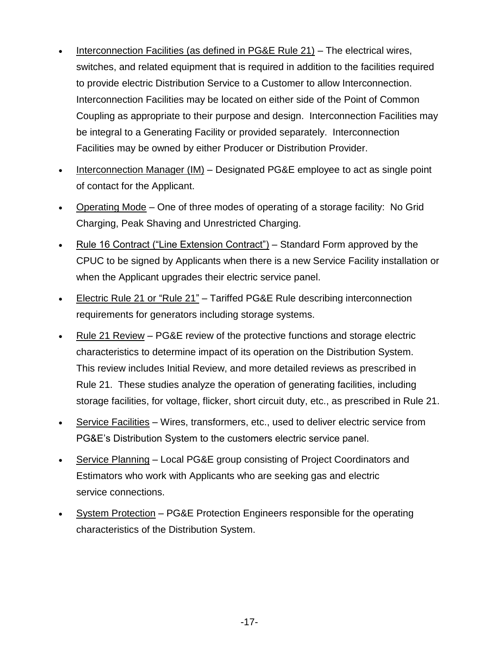- Interconnection Facilities (as defined in PG&E Rule 21) The electrical wires, switches, and related equipment that is required in addition to the facilities required to provide electric Distribution Service to a Customer to allow Interconnection. Interconnection Facilities may be located on either side of the Point of Common Coupling as appropriate to their purpose and design. Interconnection Facilities may be integral to a Generating Facility or provided separately. Interconnection Facilities may be owned by either Producer or Distribution Provider.
- Interconnection Manager (IM) Designated PG&E employee to act as single point of contact for the Applicant.
- Operating Mode One of three modes of operating of a storage facility: No Grid Charging, Peak Shaving and Unrestricted Charging.
- Rule 16 Contract ("Line Extension Contract") Standard Form approved by the CPUC to be signed by Applicants when there is a new Service Facility installation or when the Applicant upgrades their electric service panel.
- Electric Rule 21 or "Rule 21" Tariffed PG&E Rule describing interconnection requirements for generators including storage systems.
- Rule 21 Review PG&E review of the protective functions and storage electric characteristics to determine impact of its operation on the Distribution System. This review includes Initial Review, and more detailed reviews as prescribed in Rule 21. These studies analyze the operation of generating facilities, including storage facilities, for voltage, flicker, short circuit duty, etc., as prescribed in Rule 21.
- Service Facilities Wires, transformers, etc., used to deliver electric service from PG&E's Distribution System to the customers electric service panel.
- Service Planning Local PG&E group consisting of Project Coordinators and Estimators who work with Applicants who are seeking gas and electric service connections.
- System Protection PG&E Protection Engineers responsible for the operating characteristics of the Distribution System.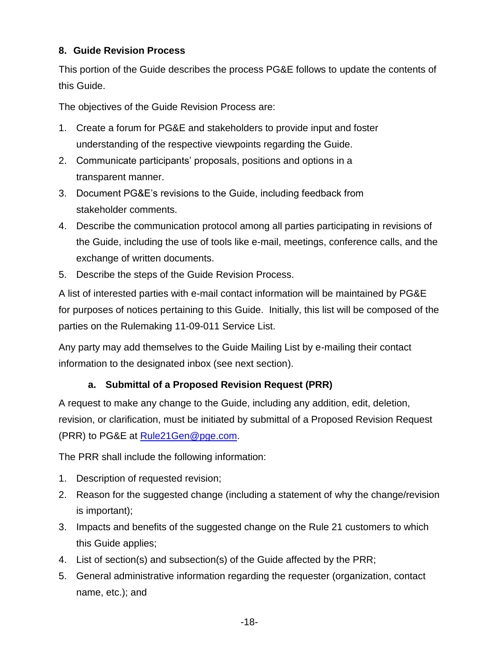# <span id="page-19-0"></span>**8. Guide Revision Process**

This portion of the Guide describes the process PG&E follows to update the contents of this Guide.

The objectives of the Guide Revision Process are:

- 1. Create a forum for PG&E and stakeholders to provide input and foster understanding of the respective viewpoints regarding the Guide.
- 2. Communicate participants' proposals, positions and options in a transparent manner.
- 3. Document PG&E's revisions to the Guide, including feedback from stakeholder comments.
- 4. Describe the communication protocol among all parties participating in revisions of the Guide, including the use of tools like e-mail, meetings, conference calls, and the exchange of written documents.
- 5. Describe the steps of the Guide Revision Process.

A list of interested parties with e-mail contact information will be maintained by PG&E for purposes of notices pertaining to this Guide. Initially, this list will be composed of the parties on the Rulemaking 11-09-011 Service List.

Any party may add themselves to the Guide Mailing List by e-mailing their contact information to the designated inbox (see next section).

# **a. Submittal of a Proposed Revision Request (PRR)**

A request to make any change to the Guide, including any addition, edit, deletion, revision, or clarification, must be initiated by submittal of a Proposed Revision Request (PRR) to PG&E at [Rule21Gen@pge.com.](mailto:Rule21Gen@pge.com)

The PRR shall include the following information:

- 1. Description of requested revision;
- 2. Reason for the suggested change (including a statement of why the change/revision is important);
- 3. Impacts and benefits of the suggested change on the Rule 21 customers to which this Guide applies;
- 4. List of section(s) and subsection(s) of the Guide affected by the PRR;
- 5. General administrative information regarding the requester (organization, contact name, etc.); and